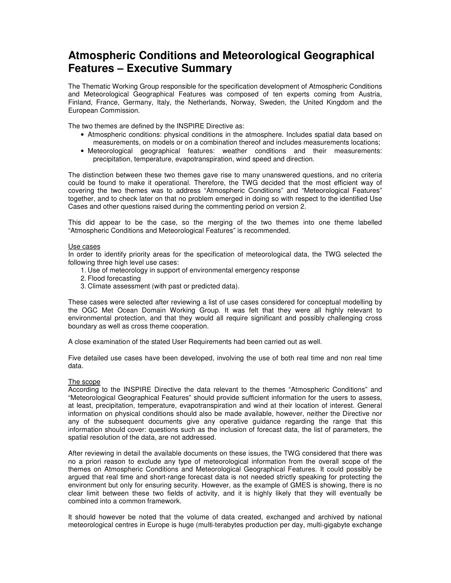## **Atmospheric Conditions and Meteorological Geographical Features – Executive Summary**

The Thematic Working Group responsible for the specification development of Atmospheric Conditions and Meteorological Geographical Features was composed of ten experts coming from Austria, Finland, France, Germany, Italy, the Netherlands, Norway, Sweden, the United Kingdom and the European Commission.

The two themes are defined by the INSPIRE Directive as:

- Atmospheric conditions: physical conditions in the atmosphere. Includes spatial data based on measurements, on models or on a combination thereof and includes measurements locations;
- Meteorological geographical features: weather conditions and their measurements: precipitation, temperature, evapotranspiration, wind speed and direction.

The distinction between these two themes gave rise to many unanswered questions, and no criteria could be found to make it operational. Therefore, the TWG decided that the most efficient way of covering the two themes was to address "Atmospheric Conditions" and "Meteorological Features" together, and to check later on that no problem emerged in doing so with respect to the identified Use Cases and other questions raised during the commenting period on version 2.

This did appear to be the case, so the merging of the two themes into one theme labelled "Atmospheric Conditions and Meteorological Features" is recommended.

## Use cases

In order to identify priority areas for the specification of meteorological data, the TWG selected the following three high level use cases:

- 1. Use of meteorology in support of environmental emergency response
- 2. Flood forecasting
- 3. Climate assessment (with past or predicted data).

These cases were selected after reviewing a list of use cases considered for conceptual modelling by the OGC Met Ocean Domain Working Group. It was felt that they were all highly relevant to environmental protection, and that they would all require significant and possibly challenging cross boundary as well as cross theme cooperation.

A close examination of the stated User Requirements had been carried out as well.

Five detailed use cases have been developed, involving the use of both real time and non real time data.

## The scope

According to the INSPIRE Directive the data relevant to the themes "Atmospheric Conditions" and "Meteorological Geographical Features" should provide sufficient information for the users to assess, at least, precipitation, temperature, evapotranspiration and wind at their location of interest. General information on physical conditions should also be made available, however, neither the Directive nor any of the subsequent documents give any operative guidance regarding the range that this information should cover: questions such as the inclusion of forecast data, the list of parameters, the spatial resolution of the data, are not addressed.

After reviewing in detail the available documents on these issues, the TWG considered that there was no a priori reason to exclude any type of meteorological information from the overall scope of the themes on Atmospheric Conditions and Meteorological Geographical Features. It could possibly be argued that real time and short-range forecast data is not needed strictly speaking for protecting the environment but only for ensuring security. However, as the example of GMES is showing, there is no clear limit between these two fields of activity, and it is highly likely that they will eventually be combined into a common framework.

It should however be noted that the volume of data created, exchanged and archived by national meteorological centres in Europe is huge (multi-terabytes production per day, multi-gigabyte exchange